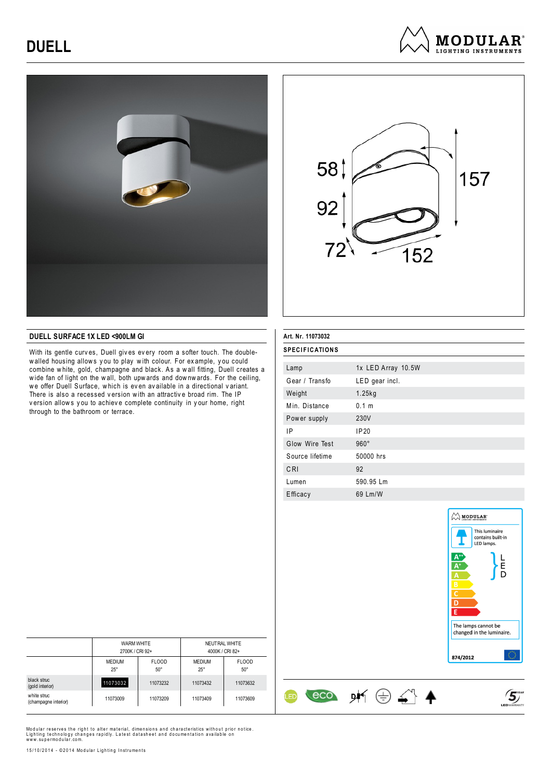## **DUELL**







### **DUELL SURFACE 1X LED <900LM GI**

With its gentle curv es, Duell giv es ev ery room a softer touch. The doublewalled housing allows you to play with colour. For example, you could combine w hite, gold, champagne and black. As a w all fitting, Duell creates a w ide fan of light on the w all, both upw ards and dow nw ards. For the ceiling, we offer Duell Surface, which is even available in a directional variant. There is also a recessed version with an attractive broad rim. The IP version allows you to achieve complete continuity in your home, right through to the bathroom or terrace.

| Art. Nr. 11073032     |                    |  |  |
|-----------------------|--------------------|--|--|
| <b>SPECIFICATIONS</b> |                    |  |  |
| Lamp                  | 1x LED Array 10.5W |  |  |
| Gear / Transfo        | LED gear incl.     |  |  |
| Weight                | $1.25$ kg          |  |  |
| Min. Distance         | 0.1 <sub>m</sub>   |  |  |
| Power supply          | 230V               |  |  |
| ΙP                    | IP20               |  |  |
| Glow Wire Test        | $960^\circ$        |  |  |
| Source lifetime       | 50000 hrs          |  |  |
| CRI                   | 92                 |  |  |
| Lumen                 | 590.95 Lm          |  |  |
| Efficacy              | 69 Lm/W            |  |  |

 $\leftarrow$  eco  $\cancel{p}$   $\leftrightarrow$   $\ominus$   $\ominus$   $\ominus$   $\rightarrow$ 

ŒD



 $\mathfrak{s}$ 

|                                     | WARM WHITE<br>2700K / CRI 92+ |                              | NEUTRAL WHITE<br>4000K / CRI 82+ |                            |
|-------------------------------------|-------------------------------|------------------------------|----------------------------------|----------------------------|
|                                     | <b>MEDIUM</b><br>$25^{\circ}$ | <b>FLOOD</b><br>$50^{\circ}$ | <b>MEDIUM</b><br>$25^{\circ}$    | <b>FLOOD</b><br>$50^\circ$ |
| black struc<br>(gold interior)      | 11073032                      | 11073232                     | 11073432                         | 11073632                   |
| white struc<br>(champagne interior) | 11073009                      | 11073209                     | 11073409                         | 11073609                   |

Modular reserves the right to alter material, dimensions and characteristics without prior notice.<br>Lighting technology changes rapidly. Latest datasheet and documentation available on<br>www.supermodular.com.